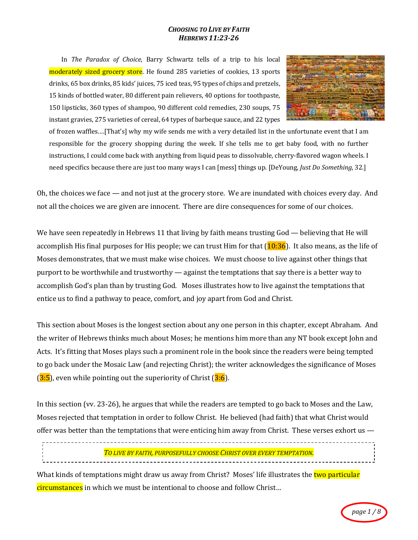## *CHOOSING TO LIVE BY FAITH HEBREWS 11:23-26*

In *The Paradox of Choice*, Barry Schwartz tells of a trip to his local moderately sized grocery store. He found 285 varieties of cookies, 13 sports drinks, 65 box drinks, 85 kids' juices, 75 iced teas, 95 types of chips and pretzels, 15 kinds of bottled water, 80 different pain relievers, 40 options for toothpaste, 150 lipsticks, 360 types of shampoo, 90 different cold remedies, 230 soups, 75 instant gravies, 275 varieties of cereal, 64 types of barbeque sauce, and 22 types



of frozen waffles....[That's] why my wife sends me with a very detailed list in the unfortunate event that I am responsible for the grocery shopping during the week. If she tells me to get baby food, with no further instructions, I could come back with anything from liquid peas to dissolvable, cherry-flavored wagon wheels. I need specifics because there are just too many ways I can [mess] things up. [DeYoung, *Just Do Something*, 32.]

Oh, the choices we face — and not just at the grocery store. We are inundated with choices every day. And not all the choices we are given are innocent. There are dire consequences for some of our choices.

We have seen repeatedly in Hebrews 11 that living by faith means trusting God — believing that He will accomplish His final purposes for His people; we can trust Him for that  $(10:36)$ . It also means, as the life of Moses demonstrates, that we must make wise choices. We must choose to live against other things that purport to be worthwhile and trustworthy — against the temptations that say there is a better way to accomplish God's plan than by trusting God. Moses illustrates how to live against the temptations that entice us to find a pathway to peace, comfort, and joy apart from God and Christ.

This section about Moses is the longest section about any one person in this chapter, except Abraham. And the writer of Hebrews thinks much about Moses; he mentions him more than any NT book except John and Acts. It's fitting that Moses plays such a prominent role in the book since the readers were being tempted to go back under the Mosaic Law (and rejecting Christ); the writer acknowledges the significance of Moses  $(3.5)$ , even while pointing out the superiority of Christ  $(3.6)$ .

In this section (vv. 23-26), he argues that while the readers are tempted to go back to Moses and the Law, Moses rejected that temptation in order to follow Christ. He believed (had faith) that what Christ would offer was better than the temptations that were enticing him away from Christ. These verses exhort us  $-$ 

*TO LIVE BY FAITH, PURPOSEFULLY CHOOSE CHRIST OVER EVERY TEMPTATION.*

What kinds of temptations might draw us away from Christ? Moses' life illustrates the two particular circumstances in which we must be intentional to choose and follow Christ...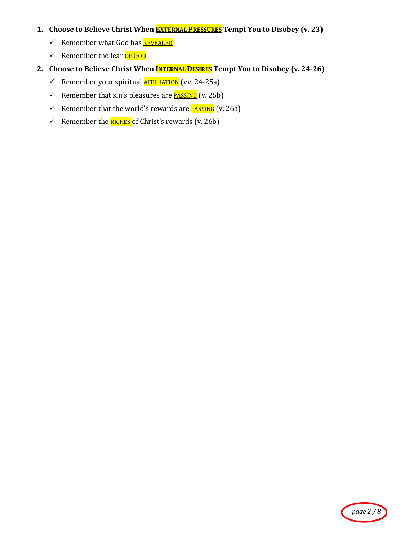# **1.** Choose to Believe Christ When **EXTERNAL PRESSURES** Tempt You to Disobey (v. 23)

- $\checkmark$  Remember what God has **REVEALED**
- $\checkmark$  Remember the fear **OF GOD**
- 2. Choose to Believe Christ When **INTERNAL DESIRES** Tempt You to Disobey (v. 24-26)
	- $\checkmark$  Remember your spiritual **AFFILIATION** (vv. 24-25a)
	- For Remember that sin's pleasures are **PASSING** (v. 25b)
	- For Remember that the world's rewards are **PASSING** (v. 26a)
	- Formon Remember the **RICHES** of Christ's rewards (v. 26b)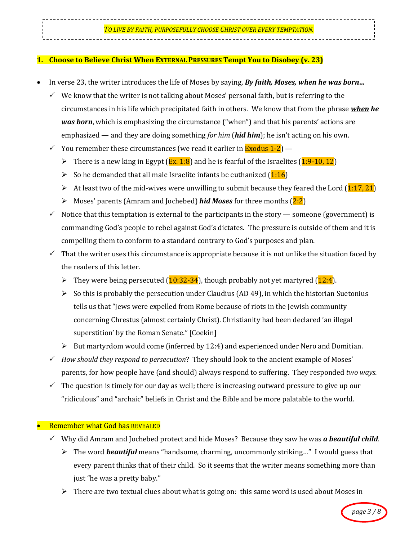#### *TO LIVE BY FAITH, PURPOSEFULLY CHOOSE CHRIST OVER EVERY TEMPTATION.*

## **1.** Choose to Believe Christ When EXTERNAL PRESSURES Tempt You to Disobey (v. 23)

- In verse 23, the writer introduces the life of Moses by saying, *By faith, Moses, when he was born...* 
	- $\checkmark$  We know that the writer is not talking about Moses' personal faith, but is referring to the circumstances in his life which precipitated faith in others. We know that from the phrase *when he was born*, which is emphasizing the circumstance ("when") and that his parents' actions are emphasized — and they are doing something *for him* (*hid him*); he isn't acting on his own.
	- $\checkmark$  You remember these circumstances (we read it earlier in **Exodus 1-2**)
		- There is a new king in Egypt  $(Ex. 1:8)$  and he is fearful of the Israelites  $(1:9-10, 12)$
		- $\triangleright$  So he demanded that all male Israelite infants be euthanized  $(1:16)$
		- $\triangleright$  At least two of the mid-wives were unwilling to submit because they feared the Lord (1:17, 21)
		- > Moses' parents (Amram and Jochebed) *hid Moses* for three months (2:2)
	- $\checkmark$  Notice that this temptation is external to the participants in the story someone (government) is commanding God's people to rebel against God's dictates. The pressure is outside of them and it is compelling them to conform to a standard contrary to God's purposes and plan.
	- $\checkmark$  That the writer uses this circumstance is appropriate because it is not unlike the situation faced by the readers of this letter.
		- They were being persecuted  $(10:32-34)$ , though probably not yet martyred  $(12:4)$ .
		- $\triangleright$  So this is probably the persecution under Claudius (AD 49), in which the historian Suetonius tells us that "Jews were expelled from Rome because of riots in the Jewish community concerning Chrestus (almost certainly Christ). Christianity had been declared 'an illegal superstition' by the Roman Senate." [Coekin]
		- $\triangleright$  But martyrdom would come (inferred by 12:4) and experienced under Nero and Domitian.
	- $\checkmark$  How should they respond to persecution? They should look to the ancient example of Moses' parents, for how people have (and should) always respond to suffering. They responded *two ways.*
	- $\checkmark$  The question is timely for our day as well; there is increasing outward pressure to give up our "ridiculous" and "archaic" beliefs in Christ and the Bible and be more palatable to the world.

#### **Remember what God has REVEALED**

- $\checkmark$  Why did Amram and Jochebed protect and hide Moses? Because they saw he was *a* **beautiful child**.
	- $\triangleright$  The word **beautiful** means "handsome, charming, uncommonly striking..." I would guess that every parent thinks that of their child. So it seems that the writer means something more than just "he was a pretty baby."
	- $\triangleright$  There are two textual clues about what is going on: this same word is used about Moses in

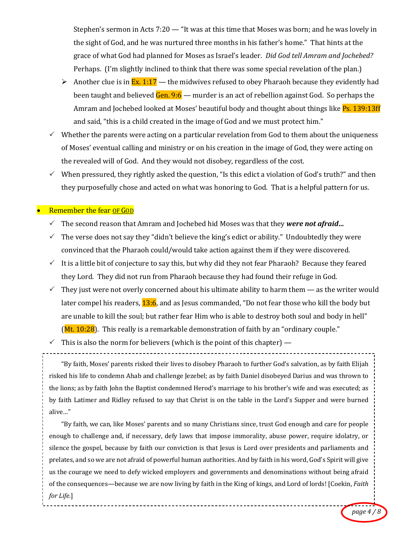Stephen's sermon in Acts  $7:20 -$  "It was at this time that Moses was born; and he was lovely in the sight of God, and he was nurtured three months in his father's home." That hints at the grace of what God had planned for Moses as Israel's leader. *Did God tell Amram and Jochebed?* Perhaps. (I'm slightly inclined to think that there was some special revelation of the plan.)

- $\triangleright$  Another clue is in  $Ex. 1:17$  the midwives refused to obey Pharaoh because they evidently had been taught and believed  $\frac{Gen. 9:6 -}{em}$  murder is an act of rebellion against God. So perhaps the Amram and Jochebed looked at Moses' beautiful body and thought about things like Ps. 139:13ff and said, "this is a child created in the image of God and we must protect him."
- $\checkmark$  Whether the parents were acting on a particular revelation from God to them about the uniqueness of Moses' eventual calling and ministry or on his creation in the image of God, they were acting on the revealed will of God. And they would not disobey, regardless of the cost.
- $\checkmark$  When pressured, they rightly asked the question, "Is this edict a violation of God's truth?" and then they purposefully chose and acted on what was honoring to God. That is a helpful pattern for us.

# **Remember the fear OF GOD**

- Five Second reason that Amram and Jochebed hid Moses was that they *were not afraid...*
- $\checkmark$  The verse does not say they "didn't believe the king's edict or ability." Undoubtedly they were convinced that the Pharaoh could/would take action against them if they were discovered.
- It is a little bit of conjecture to say this, but why did they not fear Pharaoh? Because they feared they Lord. They did not run from Pharaoh because they had found their refuge in God.
- $\checkmark$  They just were not overly concerned about his ultimate ability to harm them as the writer would later compel his readers, 13:6, and as Jesus commanded, "Do not fear those who kill the body but are unable to kill the soul; but rather fear Him who is able to destroy both soul and body in hell" **(Mt. 10:28)**. This really is a remarkable demonstration of faith by an "ordinary couple."
- $\checkmark$  This is also the norm for believers (which is the point of this chapter) —

"By faith, Moses' parents risked their lives to disobey Pharaoh to further God's salvation, as by faith Elijah risked his life to condemn Ahab and challenge Jezebel; as by faith Daniel disobeyed Darius and was thrown to the lions; as by faith John the Baptist condemned Herod's marriage to his brother's wife and was executed; as by faith Latimer and Ridley refused to say that Christ is on the table in the Lord's Supper and were burned alive…" 

"By faith, we can, like Moses' parents and so many Christians since, trust God enough and care for people enough to challenge and, if necessary, defy laws that impose immorality, abuse power, require idolatry, or silence the gospel, because by faith our conviction is that Jesus is Lord over presidents and parliaments and prelates, and so we are not afraid of powerful human authorities. And by faith in his word, God's Spirit will give us the courage we need to defy wicked employers and governments and denominations without being afraid of the consequences—because we are now living by faith in the King of kings, and Lord of lords! [Coekin, *Faith for Life*.]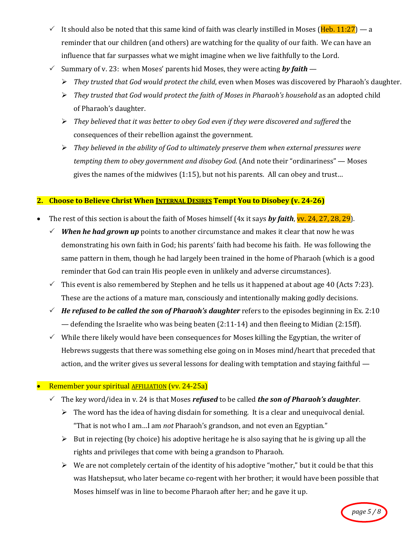- It should also be noted that this same kind of faith was clearly instilled in Moses (Heb. 11:27) a reminder that our children (and others) are watching for the quality of our faith. We can have an influence that far surpasses what we might imagine when we live faithfully to the Lord.
- $\checkmark$  Summary of v. 23: when Moses' parents hid Moses, they were acting **by faith**
	- > They trusted that God would protect the child, even when Moses was discovered by Pharaoh's daughter.
	- $\triangleright$  *They trusted that God would protect the faith of Moses in Pharaoh's household* as an adopted child of Pharaoh's daughter.
	- $\triangleright$  They believed that it was better to obey God even if they were discovered and suffered the consequences of their rebellion against the government.
	- $\triangleright$  They believed in the ability of God to ultimately preserve them when external pressures were *tempting them to obey government and disobey God.* (And note their "ordinariness" — Moses gives the names of the midwives  $(1:15)$ , but not his parents. All can obey and trust...

## **2.** Choose to Believe Christ When INTERNAL DESIRES Tempt You to Disobey (v. 24-26)

- The rest of this section is about the faith of Moses himself  $(4x$  it says **by faith**, **v**. 24, 27, 28, 29).
	- $\checkmark$  **When he had grown up** points to another circumstance and makes it clear that now he was demonstrating his own faith in God; his parents' faith had become his faith. He was following the same pattern in them, though he had largely been trained in the home of Pharaoh (which is a good reminder that God can train His people even in unlikely and adverse circumstances).
	- $\checkmark$  This event is also remembered by Stephen and he tells us it happened at about age 40 (Acts 7:23). These are the actions of a mature man, consciously and intentionally making godly decisions.
	- $\checkmark$  He refused to be called the son of Pharaoh's daughter refers to the episodes beginning in Ex. 2:10 — defending the Israelite who was being beaten  $(2:11-14)$  and then fleeing to Midian  $(2:15ff)$ .
	- $\checkmark$  While there likely would have been consequences for Moses killing the Egyptian, the writer of Hebrews suggests that there was something else going on in Moses mind/heart that preceded that action, and the writer gives us several lessons for dealing with temptation and staying faithful  $-$

## Remember your spiritual **AFFILIATION** (vv. 24-25a)

- $\checkmark$  The key word/idea in v. 24 is that Moses *refused* to be called *the son of Pharaoh's daughter*.
	- $\triangleright$  The word has the idea of having disdain for something. It is a clear and unequivocal denial. "That is not who I am...I am *not* Pharaoh's grandson, and not even an Egyptian."
	- $\triangleright$  But in rejecting (by choice) his adoptive heritage he is also saying that he is giving up all the rights and privileges that come with being a grandson to Pharaoh.
	- $\triangleright$  We are not completely certain of the identity of his adoptive "mother," but it could be that this was Hatshepsut, who later became co-regent with her brother; it would have been possible that Moses himself was in line to become Pharaoh after her; and he gave it up.

*page 5 / 8*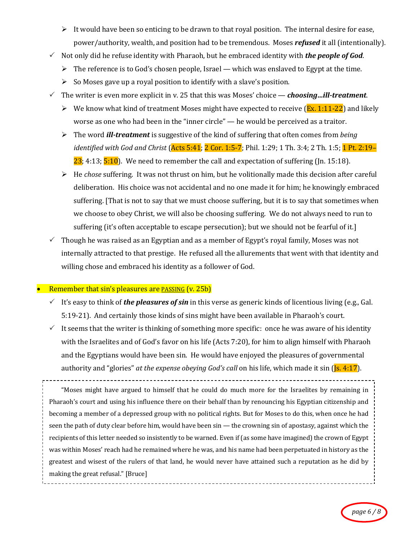- $\triangleright$  It would have been so enticing to be drawn to that royal position. The internal desire for ease, power/authority, wealth, and position had to be tremendous. Moses *refused* it all (intentionally).
- $\checkmark$  Not only did he refuse identity with Pharaoh, but he embraced identity with *the people of God*.
	- $\triangleright$  The reference is to God's chosen people, Israel which was enslaved to Egypt at the time.
	- $\triangleright$  So Moses gave up a royal position to identify with a slave's position.
- The writer is even more explicit in v. 25 that this was Moses' choice *choosing…ill-treatment*.
	- $\triangleright$  We know what kind of treatment Moses might have expected to receive (Ex. 1:11-22) and likely worse as one who had been in the "inner circle"  $-$  he would be perceived as a traitor.
	- > The word *ill-treatment* is suggestive of the kind of suffering that often comes from *being identified with God and Christ* (<mark>Acts 5:41</mark>; <mark>2 Cor. 1:5-7</mark>; Phil. 1:29; 1 Th. 3:4; 2 Th. 1:5; <mark>1 Pt. 2:19–</mark>  $23$ ; 4:13;  $5:10$ ). We need to remember the call and expectation of suffering (Jn. 15:18).
	- $\triangleright$  He *chose* suffering. It was not thrust on him, but he volitionally made this decision after careful deliberation. His choice was not accidental and no one made it for him; he knowingly embraced suffering. [That is not to say that we must choose suffering, but it is to say that sometimes when we choose to obey Christ, we will also be choosing suffering. We do not always need to run to suffering (it's often acceptable to escape persecution); but we should not be fearful of it.]
- $\checkmark$  Though he was raised as an Egyptian and as a member of Egypt's royal family, Moses was not internally attracted to that prestige. He refused all the allurements that went with that identity and willing chose and embraced his identity as a follower of God.

## Remember that  $sin's$  pleasures are **PASSING** (v. 25b)

- $\checkmark$  It's easy to think of *the pleasures of sin* in this verse as generic kinds of licentious living (e.g., Gal.) 5:19-21). And certainly those kinds of sins might have been available in Pharaoh's court.
- It seems that the writer is thinking of something more specific: once he was aware of his identity with the Israelites and of God's favor on his life (Acts 7:20), for him to align himself with Pharaoh and the Egyptians would have been sin. He would have enjoyed the pleasures of governmental authority and "glories" *at the expense obeying God's call* on his life, which made it sin (*Js. 4:17*).

"Moses might have argued to himself that he could do much more for the Israelites by remaining in Pharaoh's court and using his influence there on their behalf than by renouncing his Egyptian citizenship and becoming a member of a depressed group with no political rights. But for Moses to do this, when once he had seen the path of duty clear before him, would have been  $sin$  — the crowning  $sin$  of apostasy, against which the recipients of this letter needed so insistently to be warned. Even if (as some have imagined) the crown of Egypt was within Moses' reach had he remained where he was, and his name had been perpetuated in history as the greatest and wisest of the rulers of that land, he would never have attained such a reputation as he did by making the great refusal." [Bruce]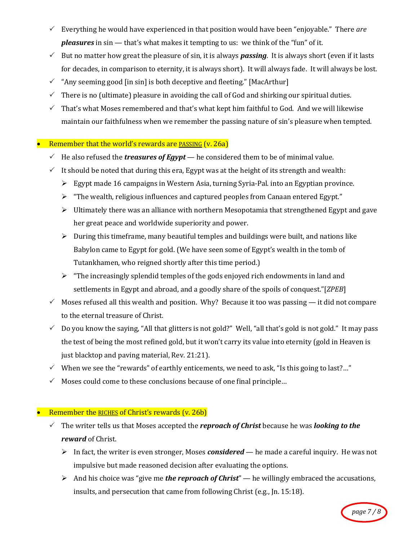- $\checkmark$  Everything he would have experienced in that position would have been "enjoyable." There are *pleasures* in sin — that's what makes it tempting to us: we think of the "fun" of it.
- $\checkmark$  But no matter how great the pleasure of sin, it is always **passing**. It is always short (even if it lasts for decades, in comparison to eternity, it is always short). It will always fade. It will always be lost.
- $\checkmark$  "Any seeming good [in sin] is both deceptive and fleeting." [MacArthur]
- $\checkmark$  There is no (ultimate) pleasure in avoiding the call of God and shirking our spiritual duties.
- $\checkmark$  That's what Moses remembered and that's what kept him faithful to God. And we will likewise maintain our faithfulness when we remember the passing nature of sin's pleasure when tempted.

# Remember that the world's rewards are PASSING  $(v. 26a)$

- $\checkmark$  He also refused the *treasures of Egypt* he considered them to be of minimal value.
- It should be noted that during this era, Egypt was at the height of its strength and wealth:
	- $\triangleright$  Egypt made 16 campaigns in Western Asia, turning Syria-Pal. into an Egyptian province.
	- $\triangleright$  "The wealth, religious influences and captured peoples from Canaan entered Egypt."
	- $\triangleright$  Ultimately there was an alliance with northern Mesopotamia that strengthened Egypt and gave her great peace and worldwide superiority and power.
	- $\triangleright$  During this timeframe, many beautiful temples and buildings were built, and nations like Babylon came to Egypt for gold. (We have seen some of Egypt's wealth in the tomb of Tutankhamen, who reigned shortly after this time period.)
	- $\triangleright$  "The increasingly splendid temples of the gods enjoyed rich endowments in land and settlements in Egypt and abroad, and a goodly share of the spoils of conquest."[*ZPEB*]
- $\checkmark$  Moses refused all this wealth and position. Why? Because it too was passing it did not compare to the eternal treasure of Christ.
- $\checkmark$  Do you know the saying, "All that glitters is not gold?" Well, "all that's gold is not gold." It may pass the test of being the most refined gold, but it won't carry its value into eternity (gold in Heaven is just blacktop and paving material, Rev. 21:21).
- $\checkmark$  When we see the "rewards" of earthly enticements, we need to ask, "Is this going to last?..."
- $\checkmark$  Moses could come to these conclusions because of one final principle...

# • Remember the RICHES of Christ's rewards  $(v. 26b)$

- $\checkmark$  The writer tells us that Moses accepted the *reproach of Christ* because he was *looking to the reward* of Christ.
	- In fact, the writer is even stronger, Moses *considered* he made a careful inquiry. He was not impulsive but made reasoned decision after evaluating the options.
	- $\triangleright$  And his choice was "give me *the reproach of Christ*" he willingly embraced the accusations, insults, and persecution that came from following Christ  $(e.g., In. 15:18)$ .